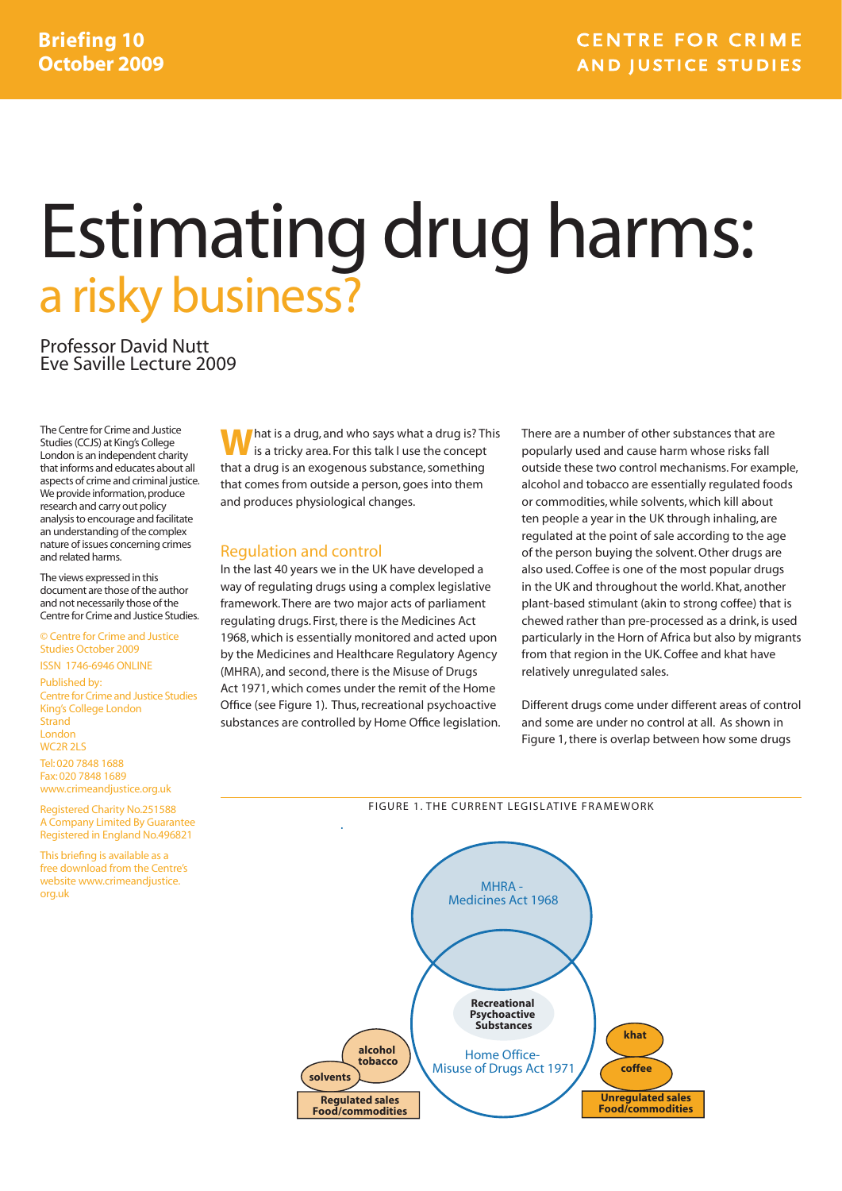# Estimating drug harms: a risky business?

Professor David Nutt Eve Saville Lecture 2009

The Centre for Crime and Justice Studies (CCJS) at King's College London is an independent charity that informs and educates about all aspects of crime and criminal justice. We provide information, produce research and carry out policy analysis to encourage and facilitate an understanding of the complex nature of issues concerning crimes and related harms.

The views expressed in this document are those of the author and not necessarily those of the Centre for Crime and Justice Studies.

#### © Centre for Crime and Justice Studies October 2009 ISSN 1746-6946 ONLINE

Published by: Centre for Crime and Justice Studies King's College London Strand London WC2R 2LS Tel: 020 7848 1688

Fax: 020 7848 1689 www.crimeandjustice.org.uk

Registered Charity No.251588 A Company Limited By Guarantee Registered in England No.496821

This briefing is available as a free download from the Centre's website www.crimeandjustice. org.uk

**M** hat is a drug, and who says what a drug is? This is a tricky area. For this talk I use the concept that a drug is an exogenous substance, something that comes from outside a person, goes into them and produces physiological changes.

#### Regulation and control

In the last 40 years we in the UK have developed a way of regulating drugs using a complex legislative framework. There are two major acts of parliament regulating drugs. First, there is the Medicines Act 1968, which is essentially monitored and acted upon by the Medicines and Healthcare Regulatory Agency (MHRA), and second, there is the Misuse of Drugs Act 1971, which comes under the remit of the Home Office (see Figure 1). Thus, recreational psychoactive substances are controlled by Home Office legislation. There are a number of other substances that are popularly used and cause harm whose risks fall outside these two control mechanisms. For example, alcohol and tobacco are essentially regulated foods or commodities, while solvents, which kill about ten people a year in the UK through inhaling, are regulated at the point of sale according to the age of the person buying the solvent. Other drugs are also used. Coffee is one of the most popular drugs in the UK and throughout the world. Khat, another plant-based stimulant (akin to strong coffee) that is chewed rather than pre-processed as a drink, is used particularly in the Horn of Africa but also by migrants from that region in the UK. Coffee and khat have relatively unregulated sales.

Different drugs come under different areas of control and some are under no control at all. As shown in Figure 1, there is overlap between how some drugs



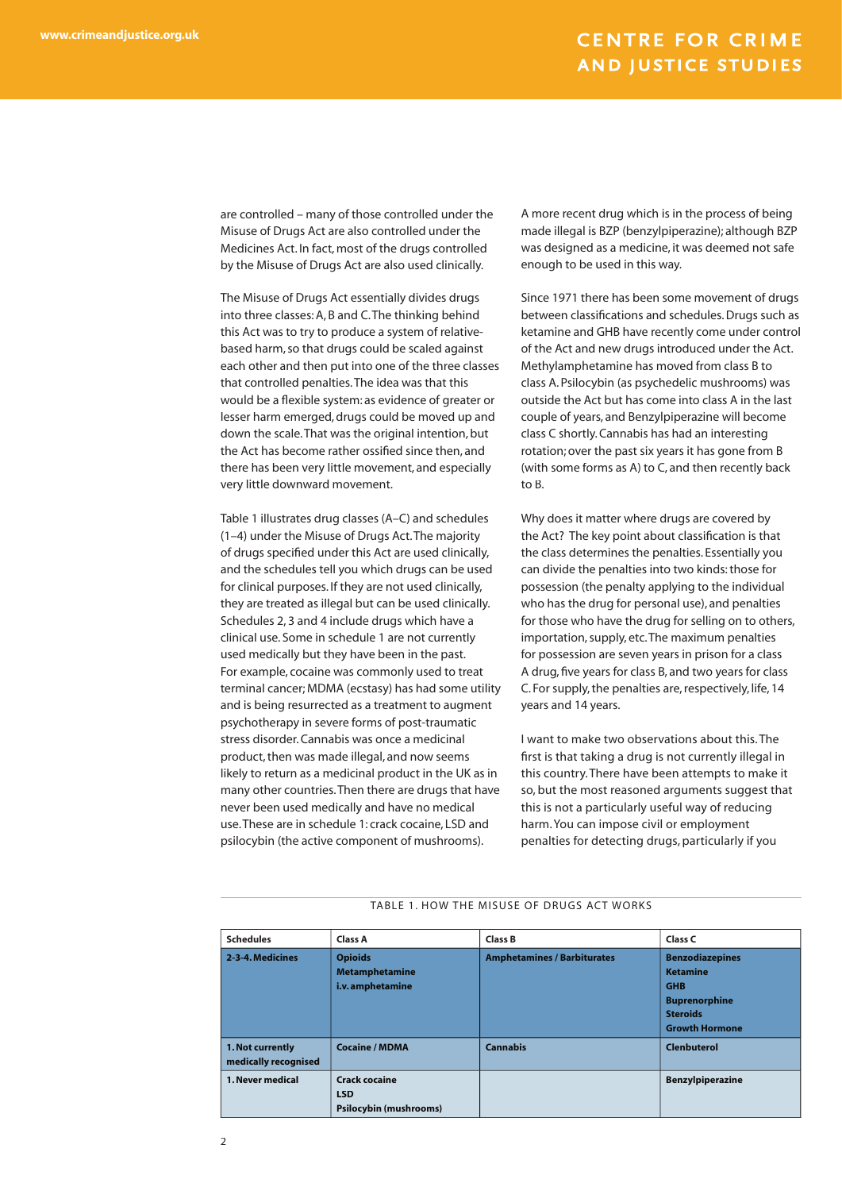are controlled – many of those controlled under the Misuse of Drugs Act are also controlled under the Medicines Act. In fact, most of the drugs controlled by the Misuse of Drugs Act are also used clinically.

The Misuse of Drugs Act essentially divides drugs into three classes: A, B and C. The thinking behind this Act was to try to produce a system of relativebased harm, so that drugs could be scaled against each other and then put into one of the three classes that controlled penalties. The idea was that this would be a flexible system: as evidence of greater or lesser harm emerged, drugs could be moved up and down the scale. That was the original intention, but the Act has become rather ossified since then, and there has been very little movement, and especially very little downward movement.

Table 1 illustrates drug classes (A–C) and schedules (1–4) under the Misuse of Drugs Act. The majority of drugs specified under this Act are used clinically, and the schedules tell you which drugs can be used for clinical purposes. If they are not used clinically, they are treated as illegal but can be used clinically. Schedules 2, 3 and 4 include drugs which have a clinical use. Some in schedule 1 are not currently used medically but they have been in the past. For example, cocaine was commonly used to treat terminal cancer; MDMA (ecstasy) has had some utility and is being resurrected as a treatment to augment psychotherapy in severe forms of post-traumatic stress disorder. Cannabis was once a medicinal product, then was made illegal, and now seems likely to return as a medicinal product in the UK as in many other countries. Then there are drugs that have never been used medically and have no medical use. These are in schedule 1: crack cocaine, LSD and psilocybin (the active component of mushrooms).

A more recent drug which is in the process of being made illegal is BZP (benzylpiperazine); although BZP was designed as a medicine, it was deemed not safe enough to be used in this way.

Since 1971 there has been some movement of drugs between classifications and schedules. Drugs such as ketamine and GHB have recently come under control of the Act and new drugs introduced under the Act. Methylamphetamine has moved from class B to class A. Psilocybin (as psychedelic mushrooms) was outside the Act but has come into class A in the last couple of years, and Benzylpiperazine will become class C shortly. Cannabis has had an interesting rotation; over the past six years it has gone from B (with some forms as A) to C, and then recently back to B.

Why does it matter where drugs are covered by the Act? The key point about classification is that the class determines the penalties. Essentially you can divide the penalties into two kinds: those for possession (the penalty applying to the individual who has the drug for personal use), and penalties for those who have the drug for selling on to others, importation, supply, etc. The maximum penalties for possession are seven years in prison for a class A drug, five years for class B, and two years for class C. For supply, the penalties are, respectively, life, 14 years and 14 years.

I want to make two observations about this. The first is that taking a drug is not currently illegal in this country. There have been attempts to make it so, but the most reasoned arguments suggest that this is not a particularly useful way of reducing harm. You can impose civil or employment penalties for detecting drugs, particularly if you

#### TABLE 1. HOW THE MISUSE OF DRUGS ACT WORKS

| <b>Schedules</b>                         | <b>Class A</b>                                                      | <b>Class B</b>                     | Class C                                                                                                                     |
|------------------------------------------|---------------------------------------------------------------------|------------------------------------|-----------------------------------------------------------------------------------------------------------------------------|
| 2-3-4. Medicines                         | <b>Opioids</b><br><b>Metamphetamine</b><br>i.v. amphetamine         | <b>Amphetamines / Barbiturates</b> | <b>Benzodiazepines</b><br><b>Ketamine</b><br><b>GHB</b><br><b>Buprenorphine</b><br><b>Steroids</b><br><b>Growth Hormone</b> |
| 1. Not currently<br>medically recognised | <b>Cocaine / MDMA</b>                                               | <b>Cannabis</b>                    | <b>Clenbuterol</b>                                                                                                          |
| 1. Never medical                         | <b>Crack cocaine</b><br><b>LSD</b><br><b>Psilocybin (mushrooms)</b> |                                    | <b>Benzylpiperazine</b>                                                                                                     |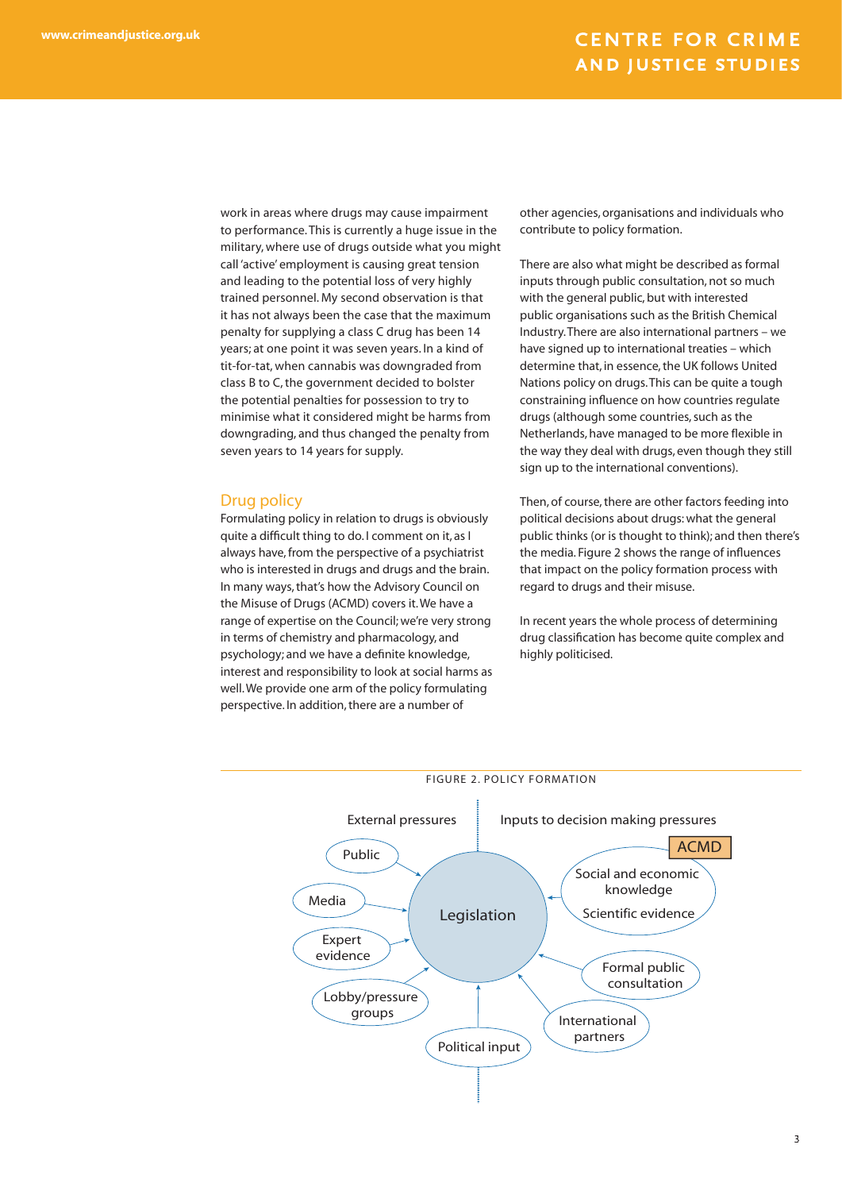work in areas where drugs may cause impairment to performance. This is currently a huge issue in the military, where use of drugs outside what you might call 'active' employment is causing great tension and leading to the potential loss of very highly trained personnel. My second observation is that it has not always been the case that the maximum penalty for supplying a class C drug has been 14 years; at one point it was seven years. In a kind of tit-for-tat, when cannabis was downgraded from class B to C, the government decided to bolster the potential penalties for possession to try to minimise what it considered might be harms from downgrading, and thus changed the penalty from seven years to 14 years for supply.

#### Drug policy

Formulating policy in relation to drugs is obviously quite a difficult thing to do. I comment on it, as I always have, from the perspective of a psychiatrist who is interested in drugs and drugs and the brain. In many ways, that's how the Advisory Council on the Misuse of Drugs (ACMD) covers it. We have a range of expertise on the Council; we're very strong in terms of chemistry and pharmacology, and psychology; and we have a definite knowledge, interest and responsibility to look at social harms as well. We provide one arm of the policy formulating perspective. In addition, there are a number of

other agencies, organisations and individuals who contribute to policy formation.

There are also what might be described as formal inputs through public consultation, not so much with the general public, but with interested public organisations such as the British Chemical Industry. There are also international partners – we have signed up to international treaties – which determine that, in essence, the UK follows United Nations policy on drugs. This can be quite a tough constraining influence on how countries regulate drugs (although some countries, such as the Netherlands, have managed to be more flexible in the way they deal with drugs, even though they still sign up to the international conventions).

Then, of course, there are other factors feeding into political decisions about drugs: what the general public thinks (or is thought to think); and then there's the media. Figure 2 shows the range of influences that impact on the policy formation process with regard to drugs and their misuse.

In recent years the whole process of determining drug classification has become quite complex and highly politicised.



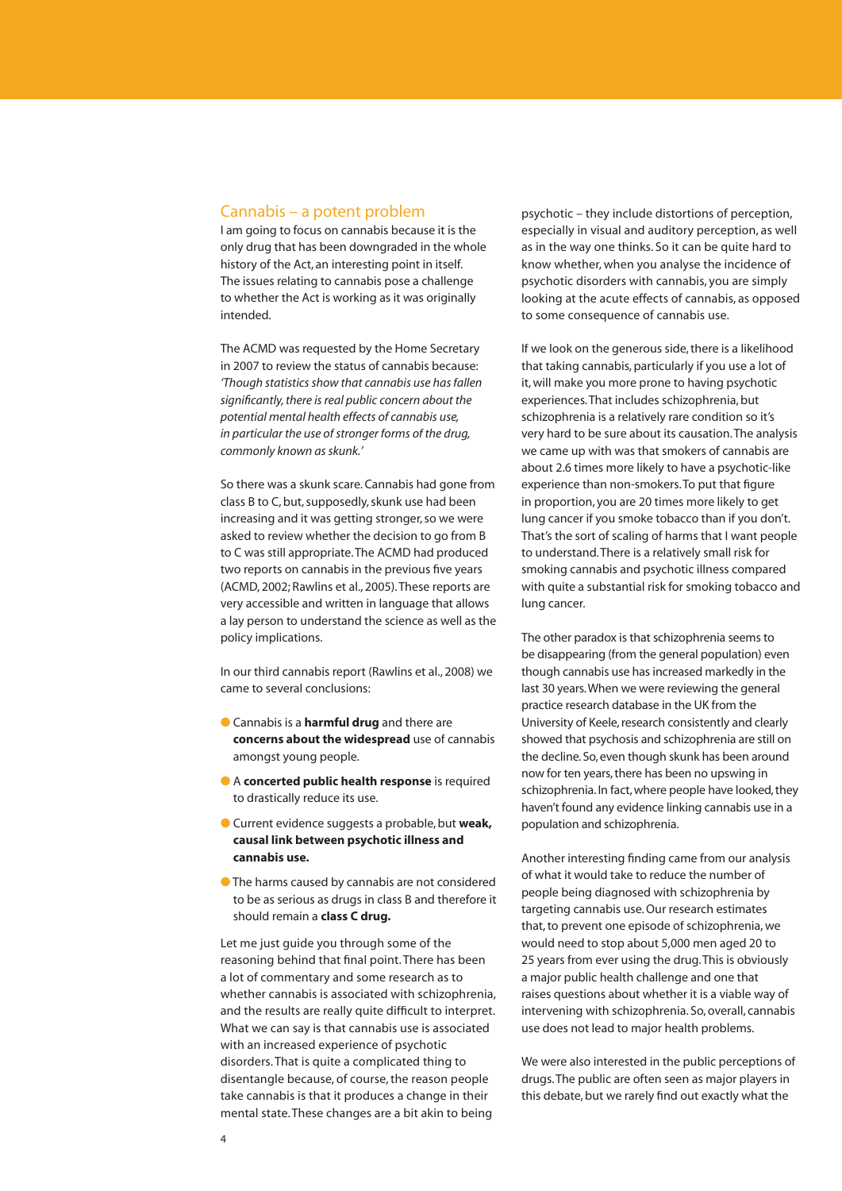#### Cannabis – a potent problem

I am going to focus on cannabis because it is the only drug that has been downgraded in the whole history of the Act, an interesting point in itself. The issues relating to cannabis pose a challenge to whether the Act is working as it was originally intended.

The ACMD was requested by the Home Secretary in 2007 to review the status of cannabis because: *'Though statistics show that cannabis use has fallen signifi cantly, there is real public concern about the potential mental health effects of cannabis use, in particular the use of stronger forms of the drug, commonly known as skunk.'* 

So there was a skunk scare. Cannabis had gone from class B to C, but, supposedly, skunk use had been increasing and it was getting stronger, so we were asked to review whether the decision to go from B to C was still appropriate. The ACMD had produced two reports on cannabis in the previous five years (ACMD, 2002; Rawlins et al., 2005). These reports are very accessible and written in language that allows a lay person to understand the science as well as the policy implications.

In our third cannabis report (Rawlins et al., 2008) we came to several conclusions:

- Cannabis is a **harmful drug** and there are **concerns about the widespread** use of cannabis amongst young people.
- A **concerted public health response** is required to drastically reduce its use.
- Current evidence suggests a probable, but **weak, causal link between psychotic illness and cannabis use.**
- The harms caused by cannabis are not considered to be as serious as drugs in class B and therefore it should remain a **class C drug.**

Let me just guide you through some of the reasoning behind that final point. There has been a lot of commentary and some research as to whether cannabis is associated with schizophrenia, and the results are really quite difficult to interpret. What we can say is that cannabis use is associated with an increased experience of psychotic disorders. That is quite a complicated thing to disentangle because, of course, the reason people take cannabis is that it produces a change in their mental state. These changes are a bit akin to being

psychotic – they include distortions of perception, especially in visual and auditory perception, as well as in the way one thinks. So it can be quite hard to know whether, when you analyse the incidence of psychotic disorders with cannabis, you are simply looking at the acute effects of cannabis, as opposed to some consequence of cannabis use.

If we look on the generous side, there is a likelihood that taking cannabis, particularly if you use a lot of it, will make you more prone to having psychotic experiences. That includes schizophrenia, but schizophrenia is a relatively rare condition so it's very hard to be sure about its causation. The analysis we came up with was that smokers of cannabis are about 2.6 times more likely to have a psychotic-like experience than non-smokers. To put that figure in proportion, you are 20 times more likely to get lung cancer if you smoke tobacco than if you don't. That's the sort of scaling of harms that I want people to understand. There is a relatively small risk for smoking cannabis and psychotic illness compared with quite a substantial risk for smoking tobacco and lung cancer.

The other paradox is that schizophrenia seems to be disappearing (from the general population) even though cannabis use has increased markedly in the last 30 years. When we were reviewing the general practice research database in the UK from the University of Keele, research consistently and clearly showed that psychosis and schizophrenia are still on the decline. So, even though skunk has been around now for ten years, there has been no upswing in schizophrenia. In fact, where people have looked, they haven't found any evidence linking cannabis use in a population and schizophrenia.

Another interesting finding came from our analysis of what it would take to reduce the number of people being diagnosed with schizophrenia by targeting cannabis use. Our research estimates that, to prevent one episode of schizophrenia, we would need to stop about 5,000 men aged 20 to 25 years from ever using the drug. This is obviously a major public health challenge and one that raises questions about whether it is a viable way of intervening with schizophrenia. So, overall, cannabis use does not lead to major health problems.

We were also interested in the public perceptions of drugs. The public are often seen as major players in this debate, but we rarely find out exactly what the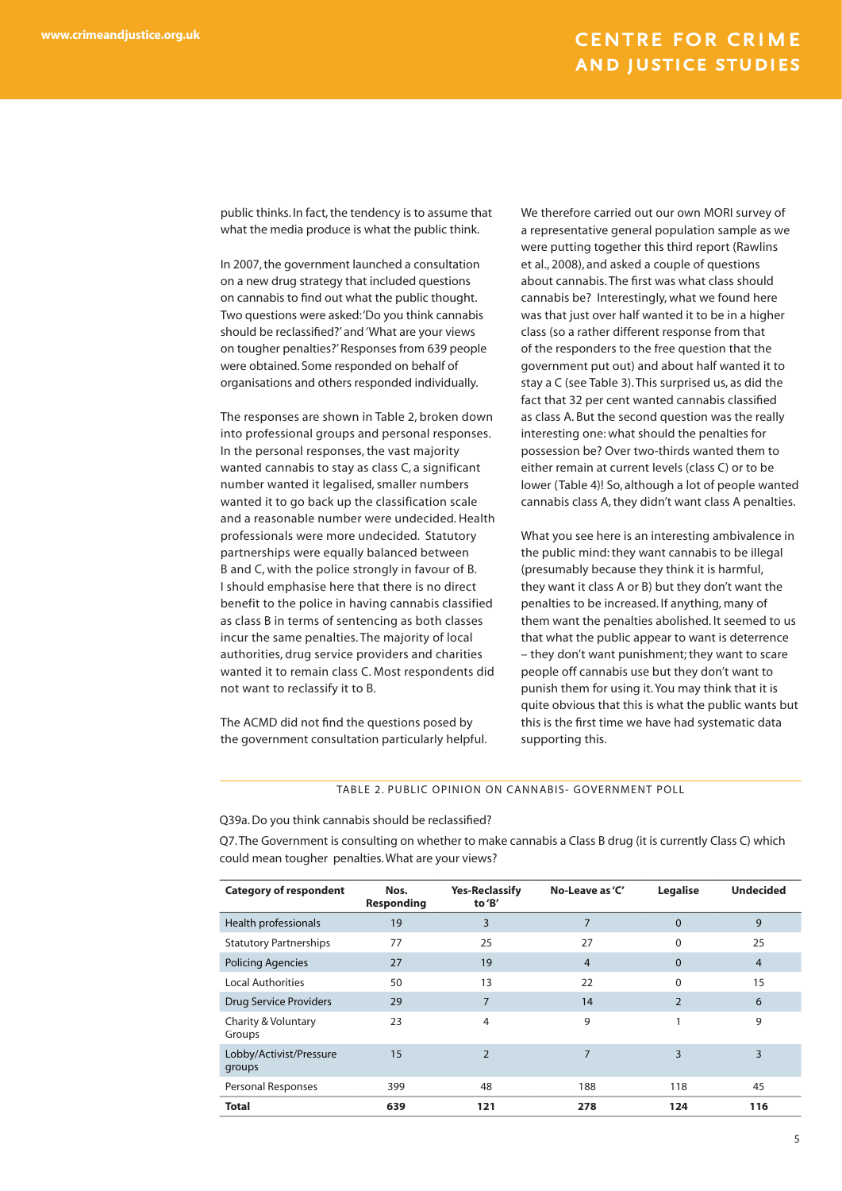public thinks. In fact, the tendency is to assume that what the media produce is what the public think.

In 2007, the government launched a consultation on a new drug strategy that included questions on cannabis to find out what the public thought. Two questions were asked: 'Do you think cannabis should be reclassified?' and 'What are your views on tougher penalties?' Responses from 639 people were obtained. Some responded on behalf of organisations and others responded individually.

The responses are shown in Table 2, broken down into professional groups and personal responses. In the personal responses, the vast majority wanted cannabis to stay as class C, a significant number wanted it legalised, smaller numbers wanted it to go back up the classification scale and a reasonable number were undecided. Health professionals were more undecided. Statutory partnerships were equally balanced between B and C, with the police strongly in favour of B. I should emphasise here that there is no direct benefit to the police in having cannabis classified as class B in terms of sentencing as both classes incur the same penalties. The majority of local authorities, drug service providers and charities wanted it to remain class C. Most respondents did not want to reclassify it to B.

The ACMD did not find the questions posed by the government consultation particularly helpful. We therefore carried out our own MORI survey of a representative general population sample as we were putting together this third report (Rawlins et al., 2008), and asked a couple of questions about cannabis. The first was what class should cannabis be? Interestingly, what we found here was that just over half wanted it to be in a higher class (so a rather different response from that of the responders to the free question that the government put out) and about half wanted it to stay a C (see Table 3). This surprised us, as did the fact that 32 per cent wanted cannabis classified as class A. But the second question was the really interesting one: what should the penalties for possession be? Over two-thirds wanted them to either remain at current levels (class C) or to be lower (Table 4)! So, although a lot of people wanted cannabis class A, they didn't want class A penalties.

What you see here is an interesting ambivalence in the public mind: they want cannabis to be illegal (presumably because they think it is harmful, they want it class A or B) but they don't want the penalties to be increased. If anything, many of them want the penalties abolished. It seemed to us that what the public appear to want is deterrence – they don't want punishment; they want to scare people off cannabis use but they don't want to punish them for using it. You may think that it is quite obvious that this is what the public wants but this is the first time we have had systematic data supporting this.

TABLE 2. PUBLIC OPINION ON CANNABIS- GOVERNMENT POLL

Q39a. Do you think cannabis should be reclassified?

Q7. The Government is consulting on whether to make cannabis a Class B drug (it is currently Class C) which could mean tougher penalties. What are your views?

| <b>Category of respondent</b>     | Nos.<br><b>Responding</b> | <b>Yes-Reclassify</b><br>to 'B' | No-Leave as 'C' | Legalise      | <b>Undecided</b> |
|-----------------------------------|---------------------------|---------------------------------|-----------------|---------------|------------------|
| Health professionals              | 19                        | 3                               | 7               | $\Omega$      | 9                |
| <b>Statutory Partnerships</b>     | 77                        | 25                              | 27              | $\Omega$      | 25               |
| <b>Policing Agencies</b>          | 27                        | 19                              | 4               | $\Omega$      | $\overline{4}$   |
| <b>Local Authorities</b>          | 50                        | 13                              | 22              | $\Omega$      | 15               |
| <b>Drug Service Providers</b>     | 29                        | 7                               | 14              | $\mathcal{P}$ | 6                |
| Charity & Voluntary<br>Groups     | 23                        | 4                               | 9               | 1             | 9                |
| Lobby/Activist/Pressure<br>groups | 15                        | $\overline{2}$                  | 7               | 3             | 3                |
| Personal Responses                | 399                       | 48                              | 188             | 118           | 45               |
| <b>Total</b>                      | 639                       | 121                             | 278             | 124           | 116              |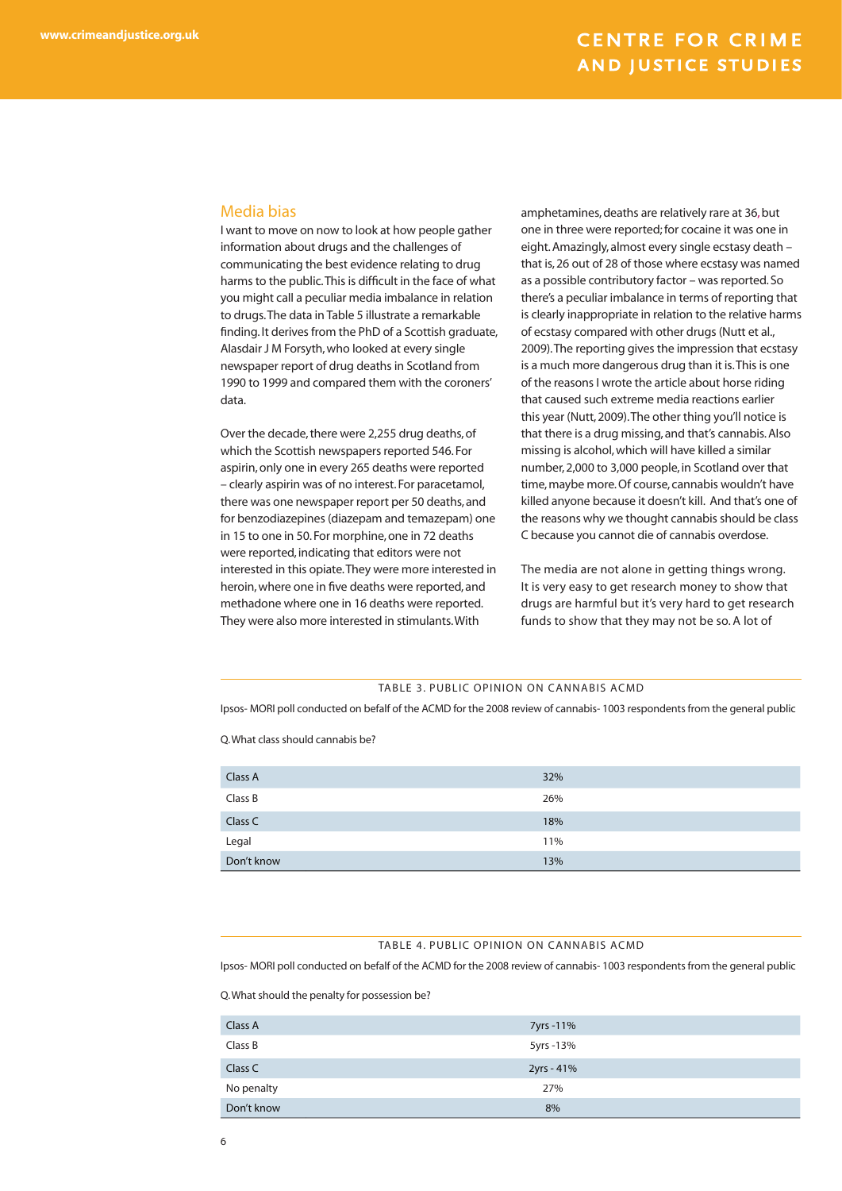#### Media bias

I want to move on now to look at how people gather information about drugs and the challenges of communicating the best evidence relating to drug harms to the public. This is difficult in the face of what you might call a peculiar media imbalance in relation to drugs. The data in Table 5 illustrate a remarkable finding. It derives from the PhD of a Scottish graduate, Alasdair J M Forsyth, who looked at every single newspaper report of drug deaths in Scotland from 1990 to 1999 and compared them with the coroners' data.

Over the decade, there were 2,255 drug deaths, of which the Scottish newspapers reported 546. For aspirin, only one in every 265 deaths were reported – clearly aspirin was of no interest. For paracetamol, there was one newspaper report per 50 deaths, and for benzodiazepines (diazepam and temazepam) one in 15 to one in 50. For morphine, one in 72 deaths were reported, indicating that editors were not interested in this opiate. They were more interested in heroin, where one in five deaths were reported, and methadone where one in 16 deaths were reported. They were also more interested in stimulants. With

amphetamines, deaths are relatively rare at 36, but one in three were reported; for cocaine it was one in eight. Amazingly, almost every single ecstasy death – that is, 26 out of 28 of those where ecstasy was named as a possible contributory factor – was reported. So there's a peculiar imbalance in terms of reporting that is clearly inappropriate in relation to the relative harms of ecstasy compared with other drugs (Nutt et al., 2009).The reporting gives the impression that ecstasy is a much more dangerous drug than it is. This is one of the reasons I wrote the article about horse riding that caused such extreme media reactions earlier this year (Nutt, 2009). The other thing you'll notice is that there is a drug missing, and that's cannabis. Also missing is alcohol, which will have killed a similar number, 2,000 to 3,000 people, in Scotland over that time, maybe more. Of course, cannabis wouldn't have killed anyone because it doesn't kill. And that's one of the reasons why we thought cannabis should be class C because you cannot die of cannabis overdose.

The media are not alone in getting things wrong. It is very easy to get research money to show that drugs are harmful but it's very hard to get research funds to show that they may not be so. A lot of

#### TABLE 3. PUBLIC OPINION ON CANNABIS ACMD

Ipsos- MORI poll conducted on befalf of the ACMD for the 2008 review of cannabis- 1003 respondents from the general public

Q. What class should cannabis be?

| Don't know | 13% |
|------------|-----|
| Legal      | 11% |
| Class C    | 18% |
| Class B    | 26% |
| Class A    | 32% |
|            |     |

#### TABLE 4. PUBLIC OPINION ON CANNABIS ACMD

Ipsos- MORI poll conducted on befalf of the ACMD for the 2008 review of cannabis- 1003 respondents from the general public

Q. What should the penalty for possession be?

| Class A    | 7yrs - 11% |
|------------|------------|
| Class B    | 5yrs -13%  |
| Class C    | 2yrs - 41% |
| No penalty | 27%        |
| Don't know | 8%         |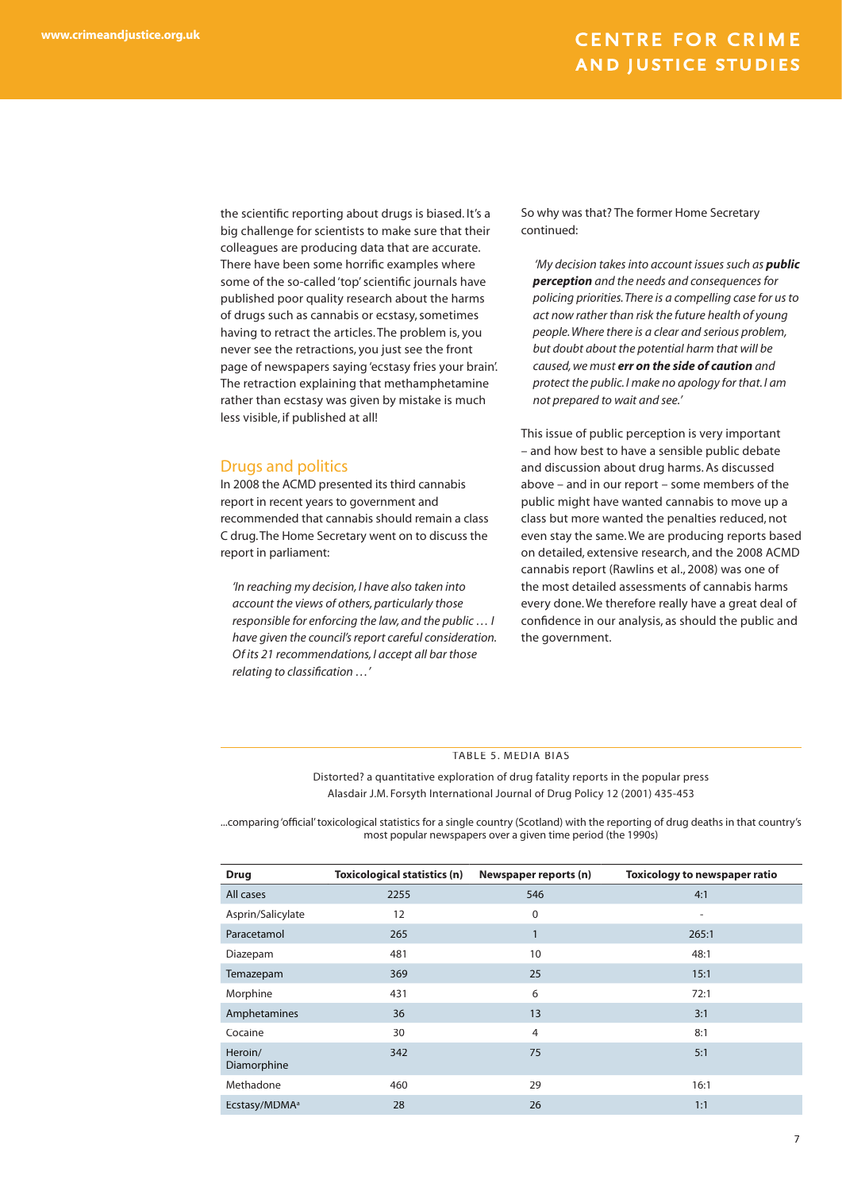the scientific reporting about drugs is biased. It's a big challenge for scientists to make sure that their colleagues are producing data that are accurate. There have been some horrific examples where some of the so-called 'top' scientific journals have published poor quality research about the harms of drugs such as cannabis or ecstasy, sometimes having to retract the articles. The problem is, you never see the retractions, you just see the front page of newspapers saying 'ecstasy fries your brain'. The retraction explaining that methamphetamine rather than ecstasy was given by mistake is much less visible, if published at all!

#### Drugs and politics

In 2008 the ACMD presented its third cannabis report in recent years to government and recommended that cannabis should remain a class C drug. The Home Secretary went on to discuss the report in parliament:

*'In reaching my decision, I have also taken into account the views of others, particularly those responsible for enforcing the law, and the public … I have given the council's report careful consideration. Of its 21 recommendations, I accept all bar those relating to classification ...'* 

So why was that? The former Home Secretary continued:

 *'My decision takes into account issues such as public perception and the needs and consequences for policing priorities. There is a compelling case for us to act now rather than risk the future health of young people. Where there is a clear and serious problem, but doubt about the potential harm that will be caused, we must err on the side of caution and protect the public. I make no apology for that. I am not prepared to wait and see.'* 

This issue of public perception is very important – and how best to have a sensible public debate and discussion about drug harms. As discussed above – and in our report – some members of the public might have wanted cannabis to move up a class but more wanted the penalties reduced, not even stay the same. We are producing reports based on detailed, extensive research, and the 2008 ACMD cannabis report (Rawlins et al., 2008) was one of the most detailed assessments of cannabis harms every done. We therefore really have a great deal of confidence in our analysis, as should the public and the government.

#### TABLE 5. MEDIA BIAS

Distorted? a quantitative exploration of drug fatality reports in the popular press Alasdair J.M. Forsyth International Journal of Drug Policy 12 (2001) 435-453

...comparing 'official' toxicological statistics for a single country (Scotland) with the reporting of drug deaths in that country's most popular newspapers over a given time period (the 1990s)

| <b>Drug</b>               | <b>Toxicological statistics (n)</b> | Newspaper reports (n) | <b>Toxicology to newspaper ratio</b> |
|---------------------------|-------------------------------------|-----------------------|--------------------------------------|
| All cases                 | 2255                                | 546                   | 4:1                                  |
| Asprin/Salicylate         | 12                                  | $\mathbf 0$           | $\overline{\phantom{0}}$             |
| Paracetamol               | 265                                 | 1<br>п                | 265:1                                |
| Diazepam                  | 481                                 | 10                    | 48:1                                 |
| Temazepam                 | 369                                 | 25                    | 15:1                                 |
| Morphine                  | 431                                 | 6                     | 72:1                                 |
| Amphetamines              | 36                                  | 13                    | 3:1                                  |
| Cocaine                   | 30                                  | $\overline{4}$        | 8:1                                  |
| Heroin/<br>Diamorphine    | 342                                 | 75                    | 5:1                                  |
| Methadone                 | 460                                 | 29                    | 16:1                                 |
| Ecstasy/MDMA <sup>a</sup> | 28                                  | 26                    | 1:1                                  |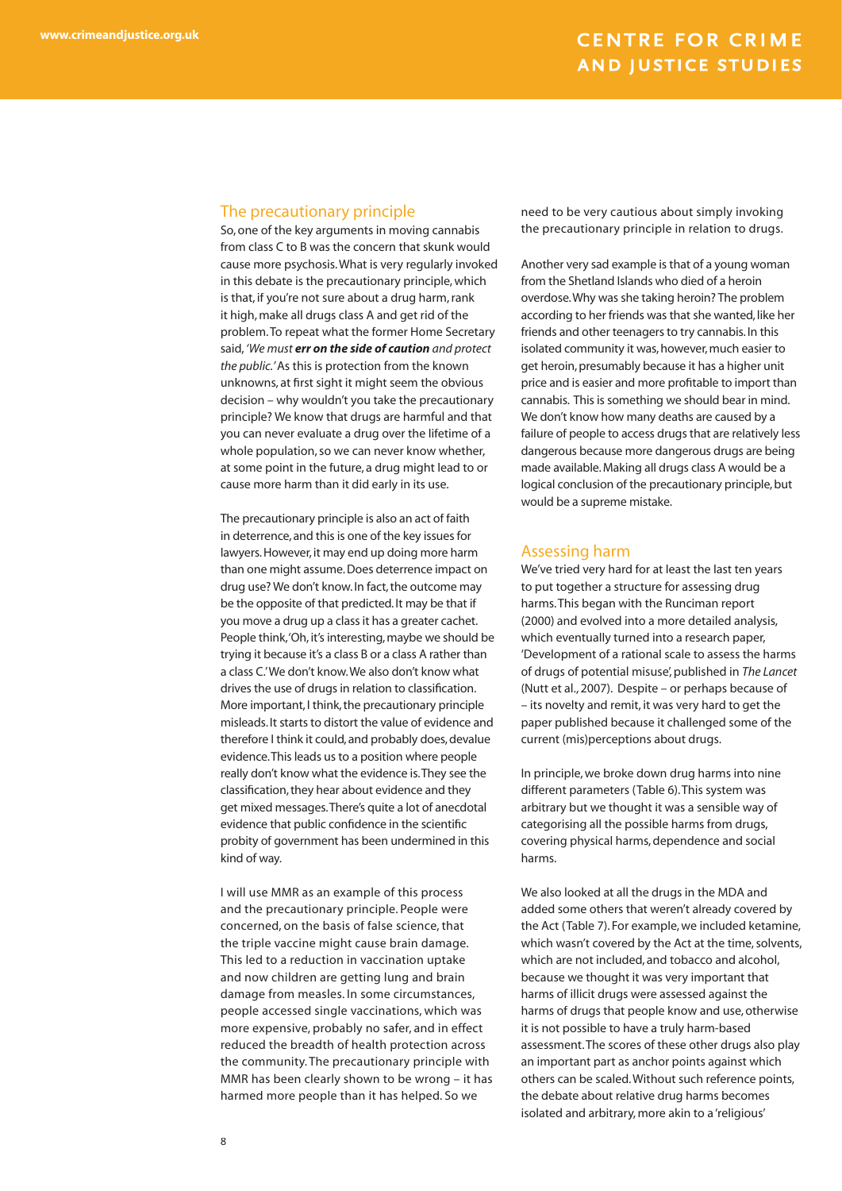#### The precautionary principle

So, one of the key arguments in moving cannabis from class C to B was the concern that skunk would cause more psychosis. What is very regularly invoked in this debate is the precautionary principle, which is that, if you're not sure about a drug harm, rank it high, make all drugs class A and get rid of the problem. To repeat what the former Home Secretary said, *'We must err on the side of caution and protect the public.'* As this is protection from the known unknowns, at first sight it might seem the obvious decision – why wouldn't you take the precautionary principle? We know that drugs are harmful and that you can never evaluate a drug over the lifetime of a whole population, so we can never know whether, at some point in the future, a drug might lead to or cause more harm than it did early in its use.

The precautionary principle is also an act of faith in deterrence, and this is one of the key issues for lawyers. However, it may end up doing more harm than one might assume. Does deterrence impact on drug use? We don't know. In fact, the outcome may be the opposite of that predicted. It may be that if you move a drug up a class it has a greater cachet. People think, 'Oh, it's interesting, maybe we should be trying it because it's a class B or a class A rather than a class C.' We don't know. We also don't know what drives the use of drugs in relation to classification. More important, I think, the precautionary principle misleads. It starts to distort the value of evidence and therefore I think it could, and probably does, devalue evidence. This leads us to a position where people really don't know what the evidence is. They see the classification, they hear about evidence and they get mixed messages. There's quite a lot of anecdotal evidence that public confidence in the scientific probity of government has been undermined in this kind of way.

I will use MMR as an example of this process and the precautionary principle. People were concerned, on the basis of false science, that the triple vaccine might cause brain damage. This led to a reduction in vaccination uptake and now children are getting lung and brain damage from measles. In some circumstances, people accessed single vaccinations, which was more expensive, probably no safer, and in effect reduced the breadth of health protection across the community. The precautionary principle with MMR has been clearly shown to be wrong – it has harmed more people than it has helped. So we

need to be very cautious about simply invoking the precautionary principle in relation to drugs.

Another very sad example is that of a young woman from the Shetland Islands who died of a heroin overdose. Why was she taking heroin? The problem according to her friends was that she wanted, like her friends and other teenagers to try cannabis. In this isolated community it was, however, much easier to get heroin, presumably because it has a higher unit price and is easier and more profitable to import than cannabis. This is something we should bear in mind. We don't know how many deaths are caused by a failure of people to access drugs that are relatively less dangerous because more dangerous drugs are being made available. Making all drugs class A would be a logical conclusion of the precautionary principle, but would be a supreme mistake.

#### Assessing harm

We've tried very hard for at least the last ten years to put together a structure for assessing drug harms. This began with the Runciman report (2000) and evolved into a more detailed analysis, which eventually turned into a research paper, 'Development of a rational scale to assess the harms of drugs of potential misuse', published in *The Lancet* (Nutt et al., 2007). Despite – or perhaps because of – its novelty and remit, it was very hard to get the paper published because it challenged some of the current (mis)perceptions about drugs.

In principle, we broke down drug harms into nine different parameters (Table 6). This system was arbitrary but we thought it was a sensible way of categorising all the possible harms from drugs, covering physical harms, dependence and social harms.

We also looked at all the drugs in the MDA and added some others that weren't already covered by the Act (Table 7). For example, we included ketamine, which wasn't covered by the Act at the time, solvents, which are not included, and tobacco and alcohol, because we thought it was very important that harms of illicit drugs were assessed against the harms of drugs that people know and use, otherwise it is not possible to have a truly harm-based assessment. The scores of these other drugs also play an important part as anchor points against which others can be scaled. Without such reference points, the debate about relative drug harms becomes isolated and arbitrary, more akin to a 'religious'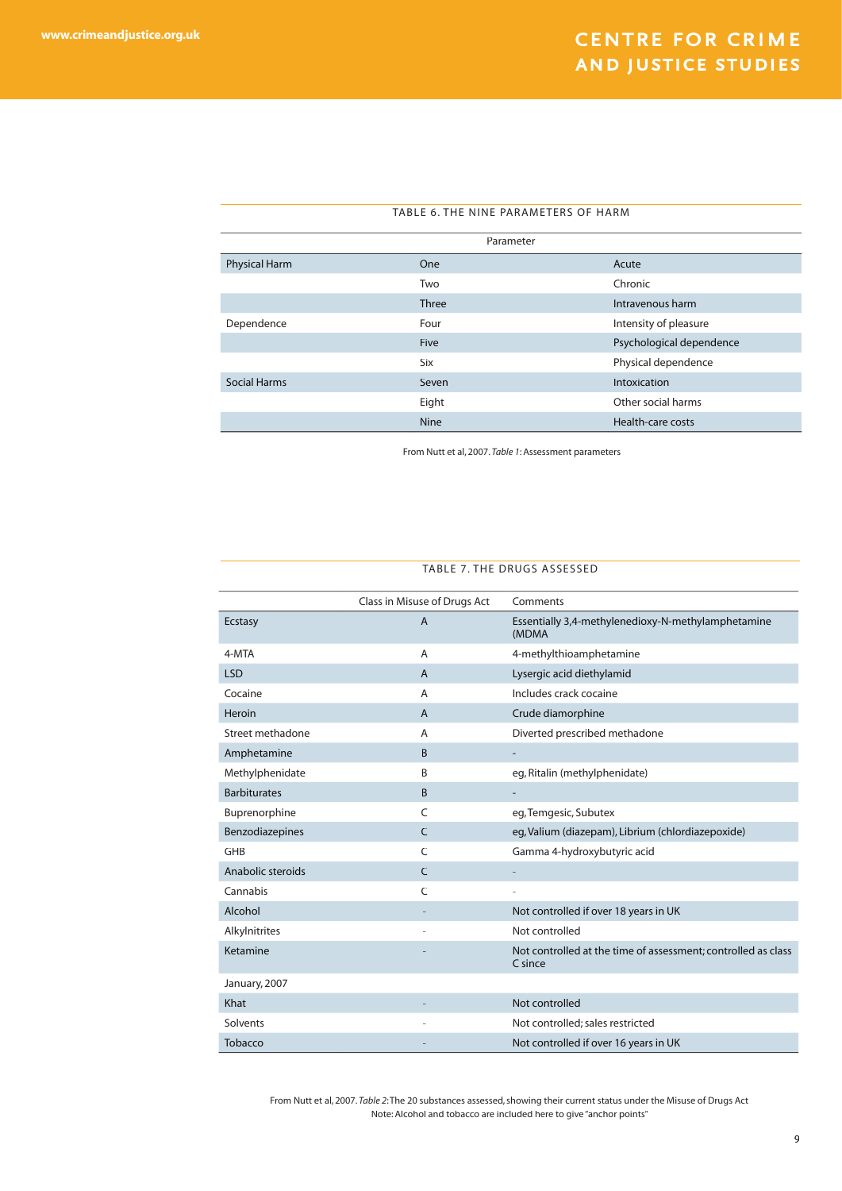| TABLE 6. THE NINE PARAMETERS OF HARM |              |                          |  |
|--------------------------------------|--------------|--------------------------|--|
| Parameter                            |              |                          |  |
| Physical Harm                        | <b>One</b>   | Acute                    |  |
|                                      | Two          | Chronic                  |  |
|                                      | <b>Three</b> | Intravenous harm         |  |
| Dependence                           | Four         | Intensity of pleasure    |  |
|                                      | <b>Five</b>  | Psychological dependence |  |
|                                      | Six          | Physical dependence      |  |
| <b>Social Harms</b>                  | Seven        | Intoxication             |  |
|                                      | Eight        | Other social harms       |  |
|                                      | <b>Nine</b>  | Health-care costs        |  |

From Nutt et al, 2007. *Table 1*: Assessment parameters

#### TABLE 7. THE DRUGS ASSESSED

|                        | Class in Misuse of Drugs Act | Comments                                                                 |
|------------------------|------------------------------|--------------------------------------------------------------------------|
| <b>Ecstasy</b>         | $\overline{A}$               | Essentially 3,4-methylenedioxy-N-methylamphetamine<br>(MDMA              |
| 4-MTA                  | A                            | 4-methylthioamphetamine                                                  |
| <b>LSD</b>             | $\overline{A}$               | Lysergic acid diethylamid                                                |
| Cocaine                | $\overline{A}$               | Includes crack cocaine                                                   |
| Heroin                 | $\overline{A}$               | Crude diamorphine                                                        |
| Street methadone       | A                            | Diverted prescribed methadone                                            |
| Amphetamine            | B                            | ۰                                                                        |
| Methylphenidate        | B                            | eg, Ritalin (methylphenidate)                                            |
| <b>Barbiturates</b>    | B                            |                                                                          |
| Buprenorphine          | C                            | eg, Temgesic, Subutex                                                    |
| <b>Benzodiazepines</b> | $\mathcal{C}$                | eg, Valium (diazepam), Librium (chlordiazepoxide)                        |
| <b>GHB</b>             | C                            | Gamma 4-hydroxybutyric acid                                              |
| Anabolic steroids      | C                            |                                                                          |
| Cannabis               | C                            |                                                                          |
| Alcohol                |                              | Not controlled if over 18 years in UK                                    |
| Alkylnitrites          |                              | Not controlled                                                           |
| Ketamine               |                              | Not controlled at the time of assessment; controlled as class<br>C since |
| January, 2007          |                              |                                                                          |
| Khat                   |                              | Not controlled                                                           |
| Solvents               |                              | Not controlled; sales restricted                                         |
| Tobacco                |                              | Not controlled if over 16 years in UK                                    |

From Nutt et al, 2007. *Table 2*: The 20 substances assessed, showing their current status under the Misuse of Drugs Act Note: Alcohol and tobacco are included here to give "anchor points"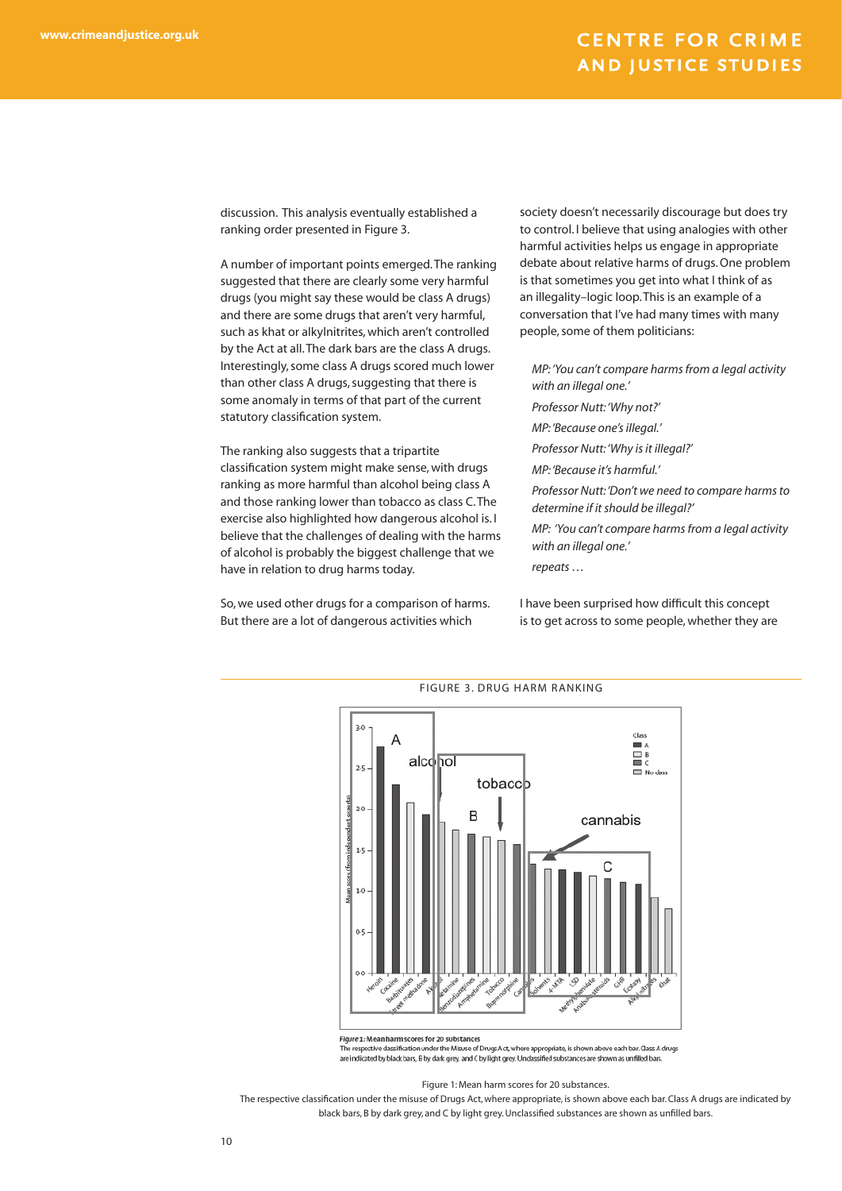discussion. This analysis eventually established a ranking order presented in Figure 3.

A number of important points emerged. The ranking suggested that there are clearly some very harmful drugs (you might say these would be class A drugs) and there are some drugs that aren't very harmful, such as khat or alkylnitrites, which aren't controlled by the Act at all. The dark bars are the class A drugs. Interestingly, some class A drugs scored much lower than other class A drugs, suggesting that there is some anomaly in terms of that part of the current statutory classification system.

The ranking also suggests that a tripartite classification system might make sense, with drugs ranking as more harmful than alcohol being class A and those ranking lower than tobacco as class C. The exercise also highlighted how dangerous alcohol is. I believe that the challenges of dealing with the harms of alcohol is probably the biggest challenge that we have in relation to drug harms today.

So, we used other drugs for a comparison of harms. But there are a lot of dangerous activities which

society doesn't necessarily discourage but does try to control. I believe that using analogies with other harmful activities helps us engage in appropriate debate about relative harms of drugs. One problem is that sometimes you get into what I think of as an illegality–logic loop. This is an example of a conversation that I've had many times with many people, some of them politicians:

*MP: 'You can't compare harms from a legal activity with an illegal one.' Professor Nutt: 'Why not?' MP: 'Because one's illegal.' Professor Nutt: 'Why is it illegal?' MP: 'Because it's harmful.' Professor Nutt: 'Don't we need to compare harms to determine if it should be illegal?' MP: 'You can't compare harms from a legal activity with an illegal one.'* 

*repeats …* 

I have been surprised how difficult this concept is to get across to some people, whether they are



Flaure 1: Mean harm scores for 20 substances

The respective das isation under the Misuse of Drugs Act, where appropriate, is shown above each bar. Gass A drugs are indicated by black bars, B by dark grey, and C by light grey. Undassified substances are shown as unfilled bars

Figure 1: Mean harm scores for 20 substances.

The respective classification under the misuse of Drugs Act, where appropriate, is shown above each bar. Class A drugs are indicated by black bars, B by dark grey, and C by light grey. Unclassified substances are shown as unfilled bars.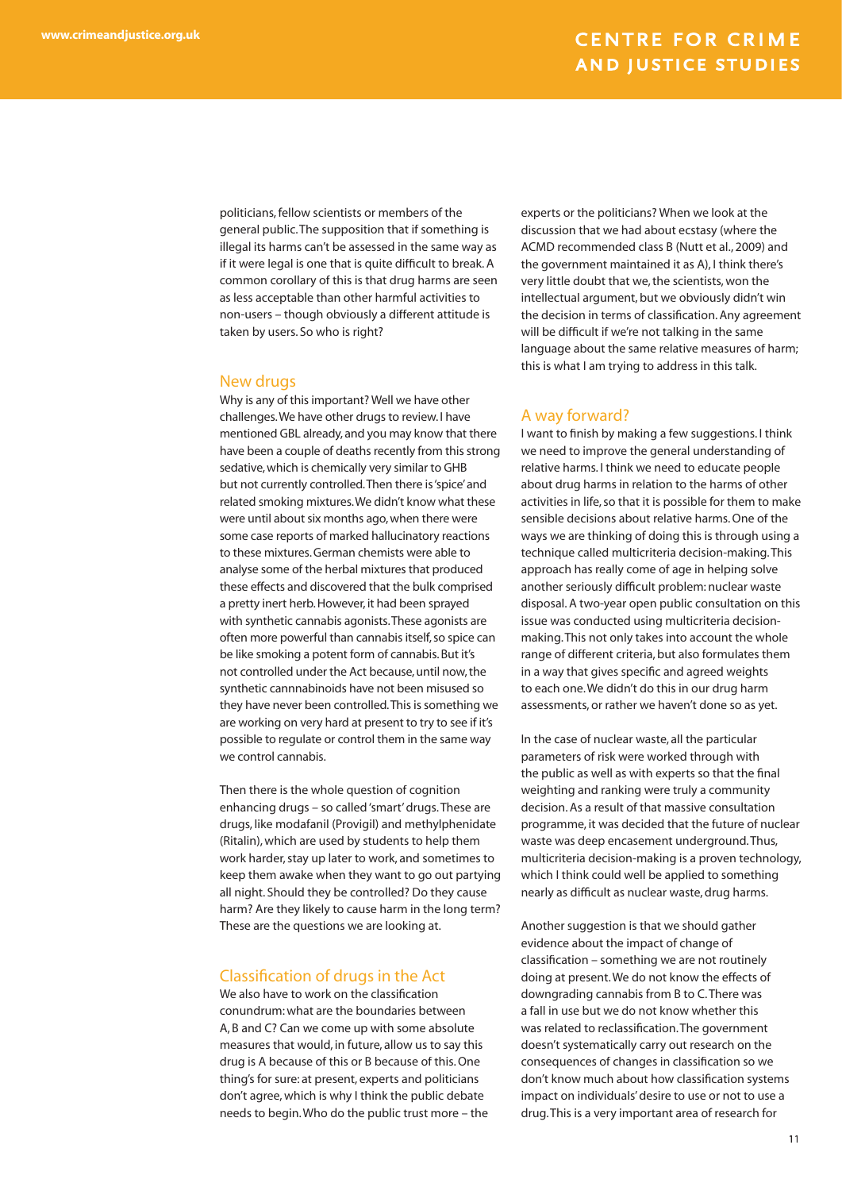politicians, fellow scientists or members of the general public. The supposition that if something is illegal its harms can't be assessed in the same way as if it were legal is one that is quite difficult to break. A common corollary of this is that drug harms are seen as less acceptable than other harmful activities to non-users – though obviously a different attitude is taken by users. So who is right?

#### New drugs

Why is any of this important? Well we have other challenges. We have other drugs to review. I have mentioned GBL already, and you may know that there have been a couple of deaths recently from this strong sedative, which is chemically very similar to GHB but not currently controlled. Then there is 'spice' and related smoking mixtures. We didn't know what these were until about six months ago, when there were some case reports of marked hallucinatory reactions to these mixtures. German chemists were able to analyse some of the herbal mixtures that produced these effects and discovered that the bulk comprised a pretty inert herb. However, it had been sprayed with synthetic cannabis agonists. These agonists are often more powerful than cannabis itself, so spice can be like smoking a potent form of cannabis. But it's not controlled under the Act because, until now, the synthetic cannnabinoids have not been misused so they have never been controlled. This is something we are working on very hard at present to try to see if it's possible to regulate or control them in the same way we control cannabis.

Then there is the whole question of cognition enhancing drugs – so called 'smart' drugs. These are drugs, like modafanil (Provigil) and methylphenidate (Ritalin), which are used by students to help them work harder, stay up later to work, and sometimes to keep them awake when they want to go out partying all night. Should they be controlled? Do they cause harm? Are they likely to cause harm in the long term? These are the questions we are looking at.

#### Classification of drugs in the Act

We also have to work on the classification conundrum: what are the boundaries between A, B and C? Can we come up with some absolute measures that would, in future, allow us to say this drug is A because of this or B because of this. One thing's for sure: at present, experts and politicians don't agree, which is why I think the public debate needs to begin. Who do the public trust more – the experts or the politicians? When we look at the discussion that we had about ecstasy (where the ACMD recommended class B (Nutt et al., 2009) and the government maintained it as A), I think there's very little doubt that we, the scientists, won the intellectual argument, but we obviously didn't win the decision in terms of classification. Any agreement will be difficult if we're not talking in the same language about the same relative measures of harm; this is what I am trying to address in this talk.

#### A way forward?

I want to finish by making a few suggestions. I think we need to improve the general understanding of relative harms. I think we need to educate people about drug harms in relation to the harms of other activities in life, so that it is possible for them to make sensible decisions about relative harms. One of the ways we are thinking of doing this is through using a technique called multicriteria decision-making. This approach has really come of age in helping solve another seriously difficult problem: nuclear waste disposal. A two-year open public consultation on this issue was conducted using multicriteria decisionmaking. This not only takes into account the whole range of different criteria, but also formulates them in a way that gives specific and agreed weights to each one. We didn't do this in our drug harm assessments, or rather we haven't done so as yet.

In the case of nuclear waste, all the particular parameters of risk were worked through with the public as well as with experts so that the final weighting and ranking were truly a community decision. As a result of that massive consultation programme, it was decided that the future of nuclear waste was deep encasement underground. Thus, multicriteria decision-making is a proven technology, which I think could well be applied to something nearly as difficult as nuclear waste, drug harms.

Another suggestion is that we should gather evidence about the impact of change of classification – something we are not routinely doing at present. We do not know the effects of downgrading cannabis from B to C. There was a fall in use but we do not know whether this was related to reclassification. The government doesn't systematically carry out research on the consequences of changes in classification so we don't know much about how classification systems impact on individuals' desire to use or not to use a drug. This is a very important area of research for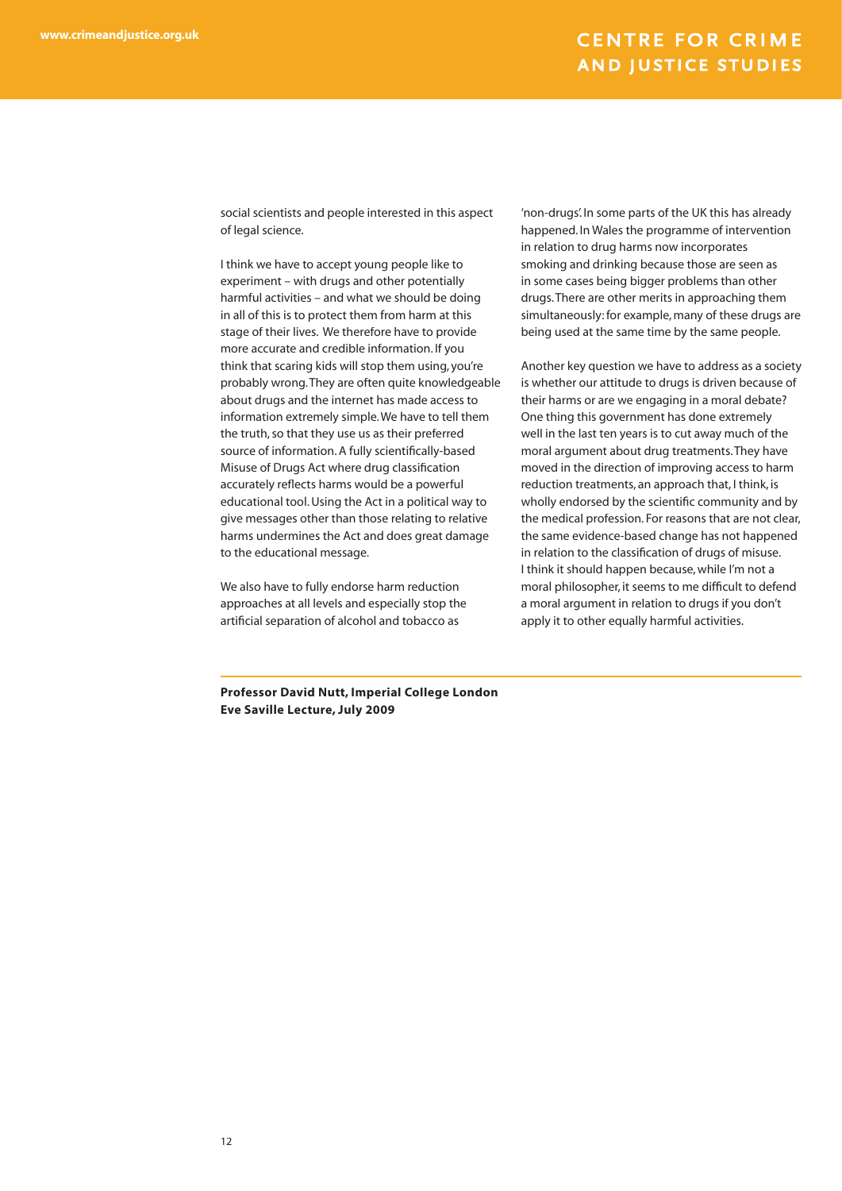social scientists and people interested in this aspect of legal science.

I think we have to accept young people like to experiment – with drugs and other potentially harmful activities – and what we should be doing in all of this is to protect them from harm at this stage of their lives. We therefore have to provide more accurate and credible information. If you think that scaring kids will stop them using, you're probably wrong. They are often quite knowledgeable about drugs and the internet has made access to information extremely simple. We have to tell them the truth, so that they use us as their preferred source of information. A fully scientifically-based Misuse of Drugs Act where drug classification accurately reflects harms would be a powerful educational tool. Using the Act in a political way to give messages other than those relating to relative harms undermines the Act and does great damage to the educational message.

We also have to fully endorse harm reduction approaches at all levels and especially stop the artificial separation of alcohol and tobacco as

'non-drugs'. In some parts of the UK this has already happened. In Wales the programme of intervention in relation to drug harms now incorporates smoking and drinking because those are seen as in some cases being bigger problems than other drugs. There are other merits in approaching them simultaneously: for example, many of these drugs are being used at the same time by the same people.

Another key question we have to address as a society is whether our attitude to drugs is driven because of their harms or are we engaging in a moral debate? One thing this government has done extremely well in the last ten years is to cut away much of the moral argument about drug treatments. They have moved in the direction of improving access to harm reduction treatments, an approach that, I think, is wholly endorsed by the scientific community and by the medical profession. For reasons that are not clear, the same evidence-based change has not happened in relation to the classification of drugs of misuse. I think it should happen because, while I'm not a moral philosopher, it seems to me difficult to defend a moral argument in relation to drugs if you don't apply it to other equally harmful activities.

**Professor David Nutt, Imperial College London Eve Saville Lecture, July 2009**